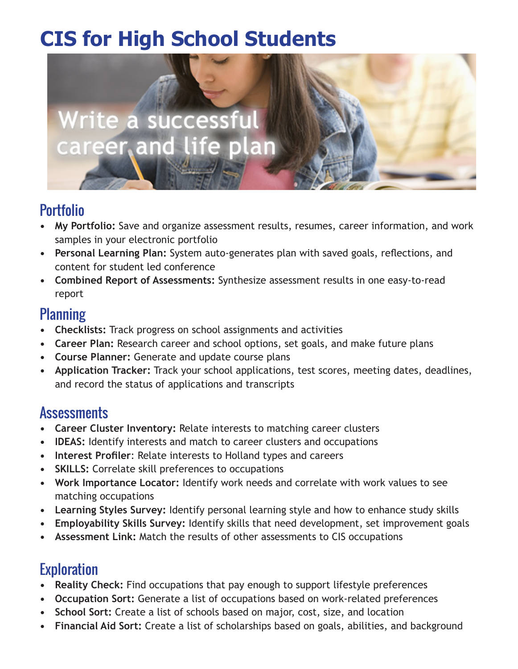# **CIS for High School Students**



## Portfolio

- **• My Portfolio:** Save and organize assessment results, resumes, career information, and work samples in your electronic portfolio
- **• Personal Learning Plan:** System auto-generates plan with saved goals, reflections, and content for student led conference
- **• Combined Report of Assessments:** Synthesize assessment results in one easy-to-read report

#### **Planning**

- **• Checklists:** Track progress on school assignments and activities
- **• Career Plan:** Research career and school options, set goals, and make future plans
- **• Course Planner:** Generate and update course plans
- **• Application Tracker:** Track your school applications, test scores, meeting dates, deadlines, and record the status of applications and transcripts

# **Assessments**

- **Career Cluster Inventory: Relate interests to matching career clusters**
- **• IDEAS:** Identify interests and match to career clusters and occupations
- **• Interest Profiler**: Relate interests to Holland types and careers
- **• SKILLS:** Correlate skill preferences to occupations
- **• Work Importance Locator:** Identify work needs and correlate with work values to see matching occupations
- **• Learning Styles Survey:** Identify personal learning style and how to enhance study skills
- **Employability Skills Survey:** Identify skills that need development, set improvement goals
- **Assessment Link:** Match the results of other assessments to CIS occupations

# **Exploration**

- **• Reality Check:** Find occupations that pay enough to support lifestyle preferences
- **• Occupation Sort:** Generate a list of occupations based on work-related preferences
- **• School Sort:** Create a list of schools based on major, cost, size, and location
- **Financial Aid Sort:** Create a list of scholarships based on goals, abilities, and background